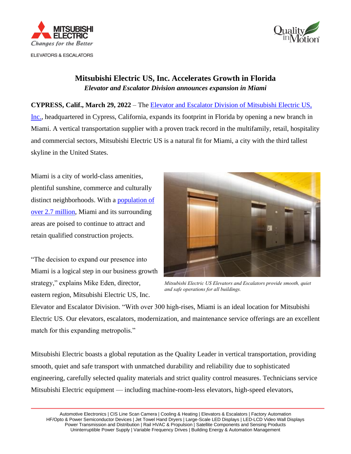



## **Mitsubishi Electric US, Inc. Accelerates Growth in Florida** *Elevator and Escalator Division announces expansion in Miami*

**CYPRESS, Calif., March 29, 2022** – The [Elevator and Escalator Division of Mitsubishi Electric US,](http://www.mitsubishielevator.com/)  [Inc.,](http://www.mitsubishielevator.com/) headquartered in Cypress, California, expands its footprint in Florida by opening a new branch in Miami. A vertical transportation supplier with a proven track record in the multifamily, retail, hospitality and commercial sectors, Mitsubishi Electric US is a natural fit for Miami, a city with the third tallest skyline in the United States.

Miami is a city of world-class amenities, plentiful sunshine, commerce and culturally distinct neighborhoods. With a [population of](https://worldpopulationreview.com/us-counties/fl/miami--dade-county-population)  [over 2.7 million,](https://worldpopulationreview.com/us-counties/fl/miami--dade-county-population) Miami and its surrounding areas are poised to continue to attract and retain qualified construction projects.

"The decision to expand our presence into Miami is a logical step in our business growth strategy," explains Mike Eden, director, eastern region, Mitsubishi Electric US, Inc.



*Mitsubishi Electric US Elevators and Escalators provide smooth, quiet and safe operations for all buildings.*

Elevator and Escalator Division. "With over 300 high-rises, Miami is an ideal location for Mitsubishi Electric US. Our elevators, escalators, modernization, and maintenance service offerings are an excellent match for this expanding metropolis."

Mitsubishi Electric boasts a global reputation as the Quality Leader in vertical transportation, providing smooth, quiet and safe transport with unmatched durability and reliability due to sophisticated engineering, carefully selected quality materials and strict quality control measures. Technicians service Mitsubishi Electric equipment — including machine-room-less elevators, high-speed elevators,